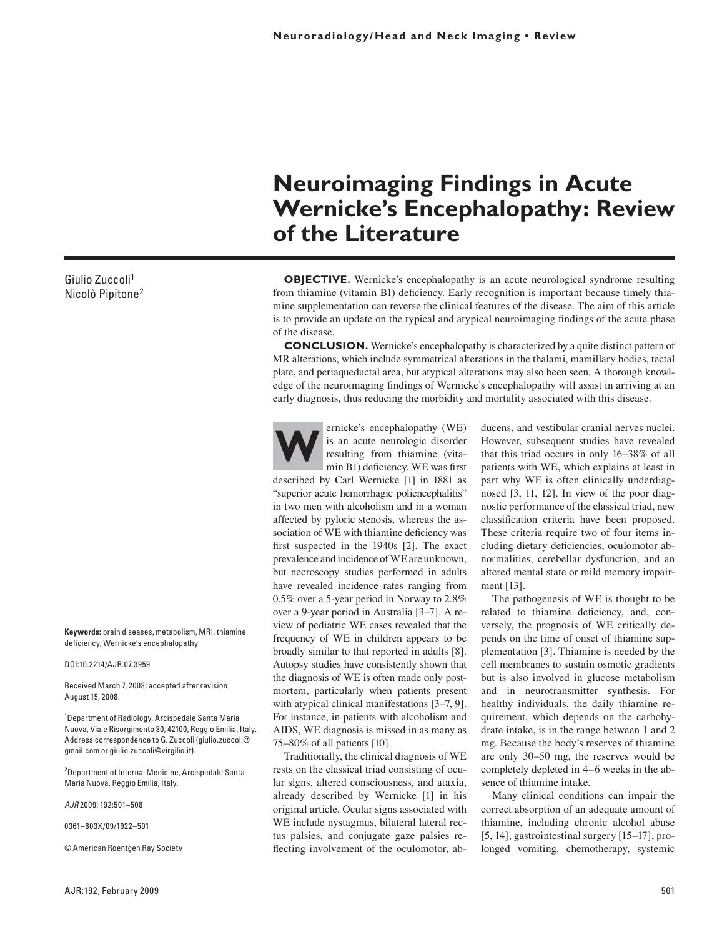# **Wernicke's Encephalopathy: Review of the Literature**

**OBJECTIVE.** Wernicke's encephalopathy is an acute neurological syndrome resulting from thiamine (vitamin B1) deficiency. Early recognition is important because timely thiamine supplementation can reverse the clinical features of the disease. The aim of this article is to provide an update on the typical and atypical neuroimaging findings of the acute phase of the disease.

**Neuroimaging Findings in Acute** 

**CONCLUSION.** Wernicke's encephalopathy is characterized by a quite distinct pattern of MR alterations, which include symmetrical alterations in the thalami, mamillary bodies, tectal plate, and periaqueductal area, but atypical alterations may also been seen. A thorough knowledge of the neuroimaging findings of Wernicke's encephalopathy will assist in arriving at an early diagnosis, thus reducing the morbidity and mortality associated with this disease.



ernicke's encephalopathy (WE)<br>is an acute neurologic disorder<br>resulting from thiamine (vita-<br>min B1) deficiency. WE was first is an acute neurologic disorder resulting from thiamine (vitamin B1) deficiency. WE was first

described by Carl Wernicke [1] in 1881 as "superior acute hemorrhagic poliencephalitis" in two men with alcoholism and in a woman affected by pyloric stenosis, whereas the association of WE with thiamine deficiency was first suspected in the 1940s [2]. The exact prevalence and incidence of WE are unknown, but necroscopy studies performed in adults have revealed incidence rates ranging from 0.5% over a 5-year period in Norway to 2.8% over a 9-year period in Australia [3–7]. A review of pediatric WE cases revealed that the frequency of WE in children appears to be broadly similar to that reported in adults [8]. Autopsy studies have consistently shown that the diagnosis of WE is often made only postmortem, particularly when patients present with atypical clinical manifestations [3-7, 9]. For instance, in patients with alcoholism and AIDS, WE diagnosis is missed in as many as 75–80% of all patients [10].

Traditionally, the clinical diagnosis of WE rests on the classical triad consisting of ocular signs, altered consciousness, and ataxia, already described by Wernicke [1] in his original article. Ocular signs associated with WE include nystagmus, bilateral lateral rectus palsies, and conjugate gaze palsies reflecting involvement of the oculomotor, abducens, and vestibular cranial nerves nuclei. However, subsequent studies have revealed that this triad occurs in only 16–38% of all patients with WE, which explains at least in part why WE is often clinically underdiagnosed [3, 11, 12]. In view of the poor diagnostic performance of the classical triad, new classification criteria have been proposed. These criteria require two of four items including dietary deficiencies, oculomotor abnormalities, cerebellar dysfunction, and an altered mental state or mild memory impairment [13].

The pathogenesis of WE is thought to be related to thiamine deficiency, and, conversely, the prognosis of WE critically depends on the time of onset of thiamine supplementation [3]. Thiamine is needed by the cell membranes to sustain osmotic gradients but is also involved in glucose metabolism and in neurotransmitter synthesis. For healthy individuals, the daily thiamine requirement, which depends on the carbohydrate intake, is in the range between 1 and 2 mg. Because the body's reserves of thiamine are only 30–50 mg, the reserves would be completely depleted in 4–6 weeks in the absence of thiamine intake.

Many clinical conditions can impair the correct absorption of an adequate amount of thiamine, including chronic alcohol abuse [5, 14], gastrointestinal surgery [15–17], prolonged vomiting, chemotherapy, systemic

Giulio Zuccoli1 Nicolò Pipitone2

**Keywords:** brain diseases, metabolism, MRI, thiamine deficiency, Wernicke's encephalopathy

DOI:10.2214/AJR.07.3959

Received March 7, 2008; accepted after revision August 15, 2008.

1 Department of Radiology, Arcispedale Santa Maria Nuova, Viale Risorgimento 80, 42100, Reggio Emilia, Italy. Address correspondence to G. Zuccoli (giulio.zuccoli@ gmail.com or giulio.zuccoli@virgilio.it).

<sup>2</sup> Department of Internal Medicine, Arcispedale Santa Maria Nuova, Reggio Emilia, Italy.

*AJR* 2009; 192:501–508

0361–803X/09/1922–501

© American Roentgen Ray Society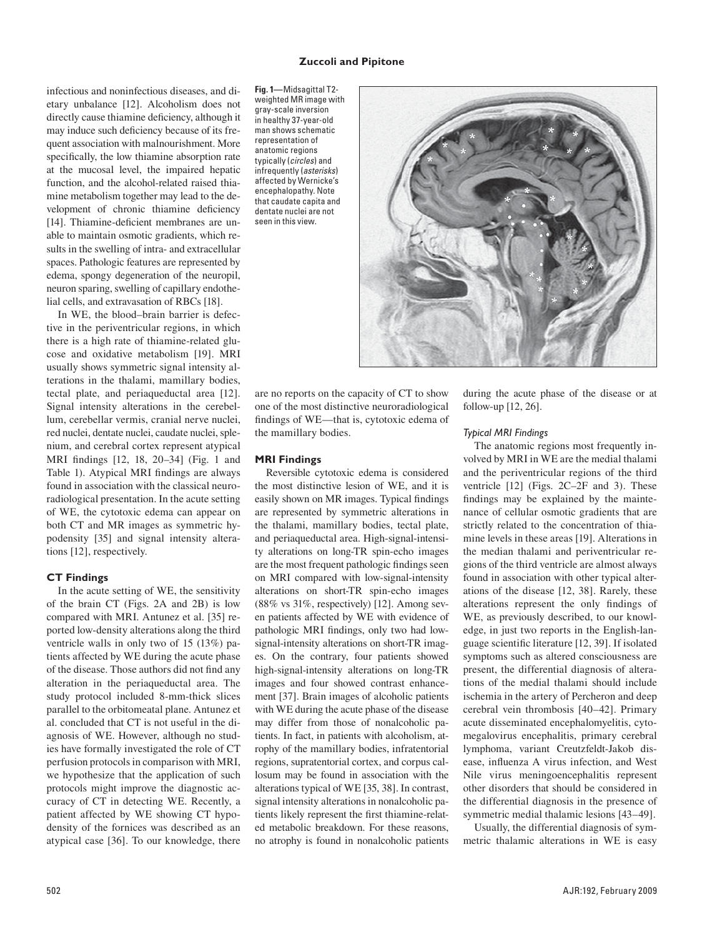infectious and noninfectious diseases, and dietary unbalance [12]. Alcoholism does not directly cause thiamine deficiency, although it may induce such deficiency because of its frequent association with malnourishment. More specifically, the low thiamine absorption rate at the mucosal level, the impaired hepatic function, and the alcohol-related raised thiamine metabolism together may lead to the development of chronic thiamine deficiency [14]. Thiamine-deficient membranes are unable to maintain osmotic gradients, which results in the swelling of intra- and extracellular spaces. Pathologic features are represented by edema, spongy degeneration of the neuropil, neuron sparing, swelling of capillary endothelial cells, and extravasation of RBCs [18].

In WE, the blood–brain barrier is defective in the periventricular regions, in which there is a high rate of thiamine-related glucose and oxidative metabolism [19]. MRI usually shows symmetric signal intensity alterations in the thalami, mamillary bodies, tectal plate, and periaqueductal area [12]. Signal intensity alterations in the cerebellum, cerebellar vermis, cranial nerve nuclei, red nuclei, dentate nuclei, caudate nuclei, splenium, and cerebral cortex represent atypical MRI findings [12, 18, 20–34] (Fig. 1 and Table 1). Atypical MRI findings are always found in association with the classical neuroradiological presentation. In the acute setting of WE, the cytotoxic edema can appear on both CT and MR images as symmetric hypodensity [35] and signal intensity alterations [12], respectively.

## **CT Findings**

In the acute setting of WE, the sensitivity of the brain CT (Figs. 2A and 2B) is low compared with MRI. Antunez et al. [35] reported low-density alterations along the third ventricle walls in only two of 15 (13%) patients affected by WE during the acute phase of the disease. Those authors did not find any alteration in the periaqueductal area. The study protocol included 8-mm-thick slices parallel to the orbitomeatal plane. Antunez et al. concluded that CT is not useful in the diagnosis of WE. However, although no studies have formally investigated the role of CT perfusion protocols in comparison with MRI, we hypothesize that the application of such protocols might improve the diagnostic accuracy of CT in detecting WE. Recently, a patient affected by WE showing CT hypodensity of the fornices was described as an atypical case [36]. To our knowledge, there **Fig. 1—**Midsagittal T2 weighted MR image with gray-scale inversion in healthy 37-year-old man shows schematic representation of anatomic regions typically (*circles*) and infrequently (*asterisks*) affected by Wernicke's encephalopathy. Note that caudate capita and dentate nuclei are not seen in this view.



are no reports on the capacity of CT to show one of the most distinctive neuroradiological findings of WE—that is, cytotoxic edema of the mamillary bodies.

## **MRI Findings**

Reversible cytotoxic edema is considered the most distinctive lesion of WE, and it is easily shown on MR images. Typical findings are represented by symmetric alterations in the thalami, mamillary bodies, tectal plate, and periaqueductal area. High-signal-intensity alterations on long-TR spin-echo images are the most frequent pathologic findings seen on MRI compared with low-signal-intensity alterations on short-TR spin-echo images (88% vs 31%, respectively) [12]. Among seven patients affected by WE with evidence of pathologic MRI findings, only two had lowsignal-intensity alterations on short-TR images. On the contrary, four patients showed high-signal-intensity alterations on long-TR images and four showed contrast enhancement [37]. Brain images of alcoholic patients with WE during the acute phase of the disease may differ from those of nonalcoholic patients. In fact, in patients with alcoholism, atrophy of the mamillary bodies, infratentorial regions, supratentorial cortex, and corpus callosum may be found in association with the alterations typical of WE [35, 38]. In contrast, signal intensity alterations in nonalcoholic patients likely represent the first thiamine-related metabolic breakdown. For these reasons, no atrophy is found in nonalcoholic patients during the acute phase of the disease or at follow-up [12, 26].

#### *Typical MRI Findings*

The anatomic regions most frequently involved by MRI in WE are the medial thalami and the periventricular regions of the third ventricle [12] (Figs. 2C–2F and 3). These findings may be explained by the maintenance of cellular osmotic gradients that are strictly related to the concentration of thiamine levels in these areas [19]. Alterations in the median thalami and periventricular regions of the third ventricle are almost always found in association with other typical alterations of the disease [12, 38]. Rarely, these alterations represent the only findings of WE, as previously described, to our knowledge, in just two reports in the English-language scientific literature [12, 39]. If isolated symptoms such as altered consciousness are present, the differential diagnosis of alterations of the medial thalami should include ischemia in the artery of Percheron and deep cerebral vein thrombosis [40–42]. Primary acute disseminated encephalomyelitis, cytomegalovirus encephalitis, primary cerebral lymphoma, variant Creutzfeldt-Jakob disease, influenza A virus infection, and West Nile virus meningoencephalitis represent other disorders that should be considered in the differential diagnosis in the presence of symmetric medial thalamic lesions [43–49].

Usually, the differential diagnosis of symmetric thalamic alterations in WE is easy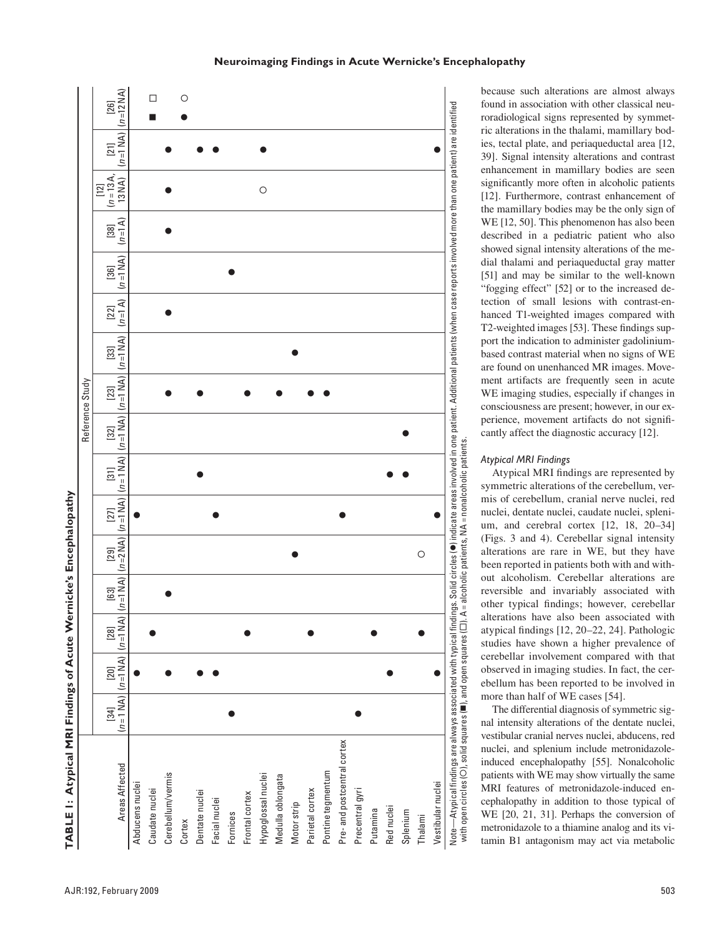

**BLE 1: Atypical MRI Findings of Acute Wernicke's Encephalopathy**

because such alterations are almost always found in association with other classical neuroradiological signs represented by symmetric alterations in the thalami, mamillary bodies, tectal plate, and periaqueductal area [12, 39]. Signal intensity alterations and contrast enhancement in mamillary bodies are seen significantly more often in alcoholic patients [12]. Furthermore, contrast enhancement of the mamillary bodies may be the only sign of WE [12, 50]. This phenomenon has also been described in a pediatric patient who also showed signal intensity alterations of the medial thalami and periaqueductal gray matter [51] and may be similar to the well-known "fogging effect" [52] or to the increased detection of small lesions with contrast-enhanced T1-weighted images compared with T2-weighted images [53]. These findings support the indication to administer gadoliniumbased contrast material when no signs of WE are found on unenhanced MR images. Movement artifacts are frequently seen in acute WE imaging studies, especially if changes in consciousness are present; however, in our experience, movement artifacts do not significantly affect the diagnostic accuracy [12].

## *Atypical MRI Findings*

Atypical MRI findings are represented by symmetric alterations of the cerebellum, vermis of cerebellum, cranial nerve nuclei, red nuclei, dentate nuclei, caudate nuclei, splenium, and cerebral cortex [12, 18, 20–34] (Figs. 3 and 4). Cerebellar signal intensity alterations are rare in WE, but they have been reported in patients both with and without alcoholism. Cerebellar alterations are reversible and invariably associated with other typical findings; however, cerebellar alterations have also been associated with atypical findings [12, 20–22, 24]. Pathologic studies have shown a higher prevalence of cerebellar involvement compared with that observed in imaging studies. In fact, the cerebellum has been reported to be involved in more than half of WE cases [54].

The differential diagnosis of symmetric signal intensity alterations of the dentate nuclei, vestibular cranial nerves nuclei, abducens, red nuclei, and splenium include metronidazoleinduced encephalopathy [55]. Nonalcoholic patients with WE may show virtually the same MRI features of metronidazole-induced encephalopathy in addition to those typical of WE [20, 21, 31]. Perhaps the conversion of metronidazole to a thiamine analog and its vi-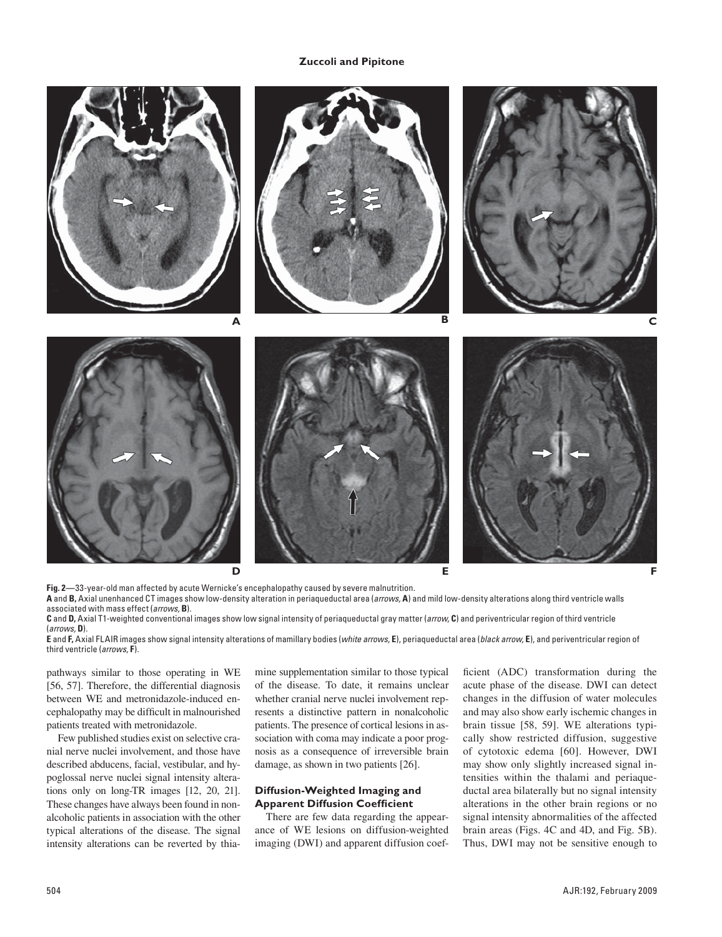

**Fig. 2—**33-year-old man affected by acute Wernicke's encephalopathy caused by severe malnutrition.

**A** and **B,** Axial unenhanced CT images show low-density alteration in periaqueductal area (*arrows,* **A**) and mild low-density alterations along third ventricle walls associated with mass effect (*arrows,* **B**).

**C** and **D,** Axial T1-weighted conventional images show low signal intensity of periaqueductal gray matter (*arrow,* **C**) and periventricular region of third ventricle (*arrows,* **D**).

**E** and **F,** Axial FLAIR images show signal intensity alterations of mamillary bodies (*white arrows,* **E**), periaqueductal area (*black arrow,* **E**), and periventricular region of third ventricle (*arrows,* **F**).

pathways similar to those operating in WE [56, 57]. Therefore, the differential diagnosis between WE and metronidazole-induced encephalopathy may be difficult in malnourished patients treated with metronidazole.

Few published studies exist on selective cranial nerve nuclei involvement, and those have described abducens, facial, vestibular, and hypoglossal nerve nuclei signal intensity alterations only on long-TR images [12, 20, 21]. These changes have always been found in nonalcoholic patients in association with the other typical alterations of the disease. The signal intensity alterations can be reverted by thiamine supplementation similar to those typical of the disease. To date, it remains unclear whether cranial nerve nuclei involvement represents a distinctive pattern in nonalcoholic patients. The presence of cortical lesions in association with coma may indicate a poor prognosis as a consequence of irreversible brain damage, as shown in two patients [26].

## **Diffusion-Weighted Imaging and Apparent Diffusion Coefficient**

There are few data regarding the appearance of WE lesions on diffusion-weighted imaging (DWI) and apparent diffusion coefficient (ADC) transformation during the acute phase of the disease. DWI can detect changes in the diffusion of water molecules and may also show early ischemic changes in brain tissue [58, 59]. WE alterations typically show restricted diffusion, suggestive of cytotoxic edema [60]. However, DWI may show only slightly increased signal intensities within the thalami and periaqueductal area bilaterally but no signal intensity alterations in the other brain regions or no signal intensity abnormalities of the affected brain areas (Figs. 4C and 4D, and Fig. 5B). Thus, DWI may not be sensitive enough to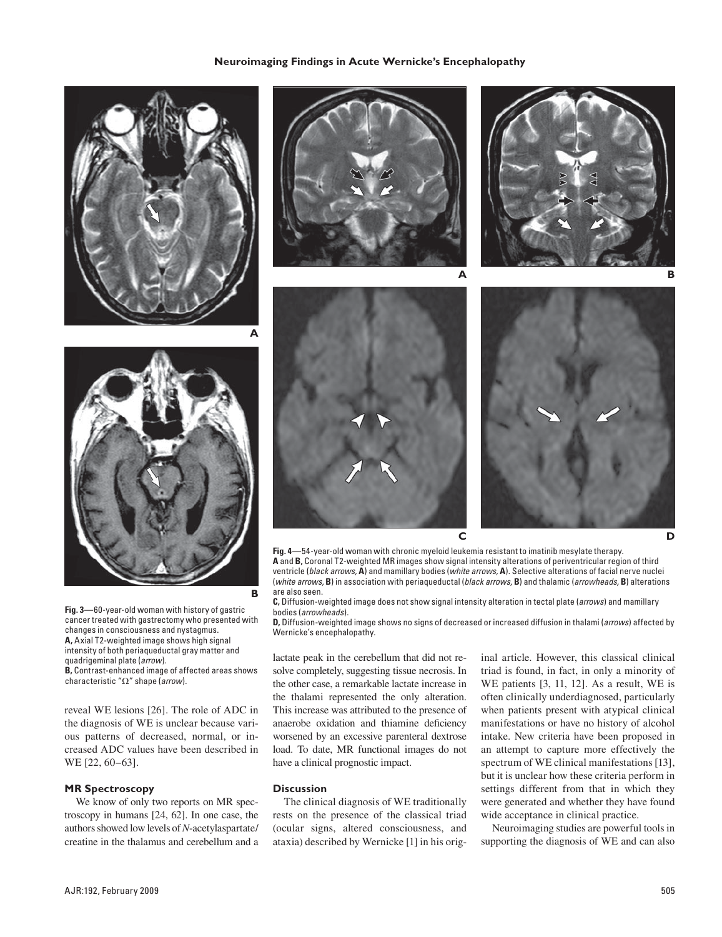









**Fig. 4—**54-year-old woman with chronic myeloid leukemia resistant to imatinib mesylate therapy. **A** and **B,** Coronal T2-weighted MR images show signal intensity alterations of periventricular region of third ventricle (*black arrows,* **A**) and mamillary bodies (*white arrows,* **A**). Selective alterations of facial nerve nuclei (*white arrows,* **B**) in association with periaqueductal (*black arrows,* **B**) and thalamic (*arrowheads,* **B**) alterations are also seen.

**C,** Diffusion-weighted image does not show signal intensity alteration in tectal plate (*arrows*) and mamillary bodies (*arrowheads*).

**D,** Diffusion-weighted image shows no signs of decreased or increased diffusion in thalami (*arrows*) affected by Wernicke's encephalopathy.

lactate peak in the cerebellum that did not resolve completely, suggesting tissue necrosis. In the other case, a remarkable lactate increase in the thalami represented the only alteration. This increase was attributed to the presence of anaerobe oxidation and thiamine deficiency worsened by an excessive parenteral dextrose load. To date, MR functional images do not have a clinical prognostic impact.

#### **Discussion**

**B**

The clinical diagnosis of WE traditionally rests on the presence of the classical triad (ocular signs, altered consciousness, and ataxia) described by Wernicke [1] in his original article. However, this classical clinical triad is found, in fact, in only a minority of WE patients [3, 11, 12]. As a result, WE is often clinically underdiagnosed, particularly when patients present with atypical clinical manifestations or have no history of alcohol intake. New criteria have been proposed in an attempt to capture more effectively the spectrum of WE clinical manifestations [13], but it is unclear how these criteria perform in settings different from that in which they were generated and whether they have found wide acceptance in clinical practice.

Neuroimaging studies are powerful tools in supporting the diagnosis of WE and can also

**Fig. 3—**60-year-old woman with history of gastric cancer treated with gastrectomy who presented with changes in consciousness and nystagmus. **A,** Axial T2-weighted image shows high signal intensity of both periaqueductal gray matter and quadrigeminal plate (*arrow*). **B,** Contrast-enhanced image of affected areas shows

characteristic "Ω" shape (*arrow*).

reveal WE lesions [26]. The role of ADC in the diagnosis of WE is unclear because various patterns of decreased, normal, or increased ADC values have been described in WE [22, 60–63].

## **MR Spectroscopy**

We know of only two reports on MR spectroscopy in humans [24, 62]. In one case, the authors showed low levels of *N*-acetylaspartate/ creatine in the thalamus and cerebellum and a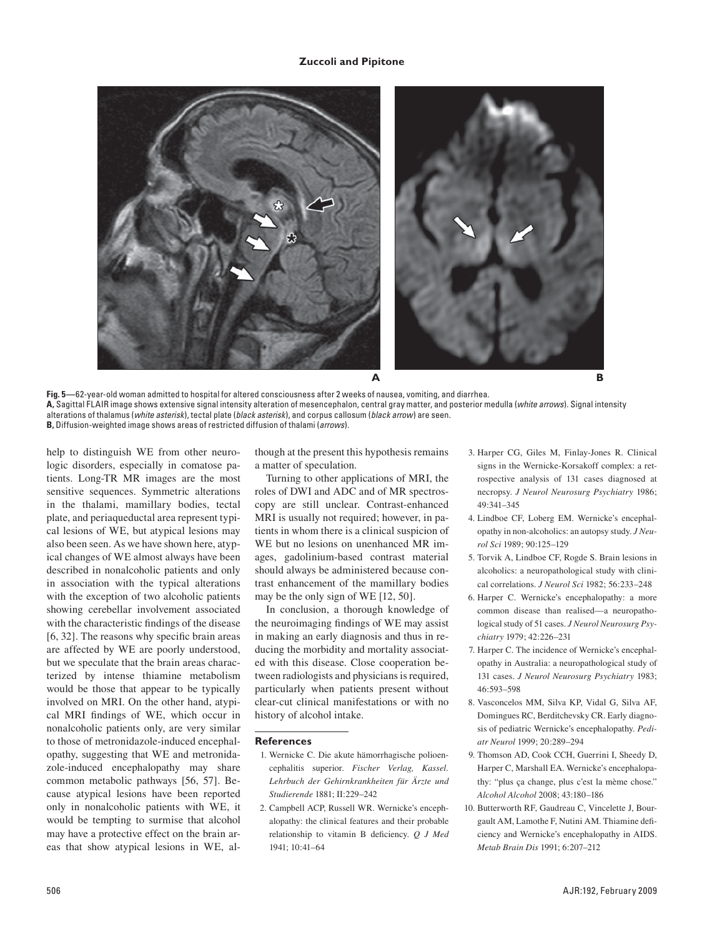

**Fig. 5—**62-year-old woman admitted to hospital for altered consciousness after 2 weeks of nausea, vomiting, and diarrhea. **A,** Sagittal FLAIR image shows extensive signal intensity alteration of mesencephalon, central gray matter, and posterior medulla (*white arrows*). Signal intensity alterations of thalamus (*white asterisk*), tectal plate (*black asterisk*), and corpus callosum (*black arrow*) are seen. **B,** Diffusion-weighted image shows areas of restricted diffusion of thalami (*arrows*).

help to distinguish WE from other neurologic disorders, especially in comatose patients. Long-TR MR images are the most sensitive sequences. Symmetric alterations in the thalami, mamillary bodies, tectal plate, and periaqueductal area represent typical lesions of WE, but atypical lesions may also been seen. As we have shown here, atypical changes of WE almost always have been described in nonalcoholic patients and only in association with the typical alterations with the exception of two alcoholic patients showing cerebellar involvement associated with the characteristic findings of the disease [6, 32]. The reasons why specific brain areas are affected by WE are poorly understood, but we speculate that the brain areas characterized by intense thiamine metabolism would be those that appear to be typically involved on MRI. On the other hand, atypical MRI findings of WE, which occur in nonalcoholic patients only, are very similar to those of metronidazole-induced encephalopathy, suggesting that WE and metronidazole-induced encephalopathy may share common metabolic pathways [56, 57]. Because atypical lesions have been reported only in nonalcoholic patients with WE, it would be tempting to surmise that alcohol may have a protective effect on the brain areas that show atypical lesions in WE, although at the present this hypothesis remains a matter of speculation.

Turning to other applications of MRI, the roles of DWI and ADC and of MR spectroscopy are still unclear. Contrast-enhanced MRI is usually not required; however, in patients in whom there is a clinical suspicion of WE but no lesions on unenhanced MR images, gadolinium-based contrast material should always be administered because contrast enhancement of the mamillary bodies may be the only sign of WE [12, 50].

In conclusion, a thorough knowledge of the neuroimaging findings of WE may assist in making an early diagnosis and thus in reducing the morbidity and mortality associated with this disease. Close cooperation between radiologists and physicians is required, particularly when patients present without clear-cut clinical manifestations or with no history of alcohol intake.

### **References**

- 1. Wernicke C. Die akute hämorrhagische polioencephalitis superior. *Fischer Verlag, Kassel. Lehrbuch der Gehirnkrankheiten für Ärzte und Studierende* 1881; II:229–242
- 2. Campbell ACP, Russell WR. Wernicke's encephalopathy: the clinical features and their probable relationship to vitamin B deficiency. *Q J Med*  1941; 10:41–64
- 3. Harper CG, Giles M, Finlay-Jones R. Clinical signs in the Wernicke-Korsakoff complex: a retrospective analysis of 131 cases diagnosed at necropsy. *J Neurol Neurosurg Psychiatry* 1986; 49:341–345
- 4. Lindboe CF, Loberg EM. Wernicke's encephalopathy in non-alcoholics: an autopsy study. *J Neurol Sci* 1989; 90:125–129
- 5. Torvik A, Lindboe CF, Rogde S. Brain lesions in alcoholics: a neuropathological study with clinical correlations. *J Neurol Sci* 1982; 56:233–248
- 6. Harper C. Wernicke's encephalopathy: a more common disease than realised—a neuropathological study of 51 cases. *J Neurol Neurosurg Psychiatry* 1979; 42:226–231
- 7. Harper C. The incidence of Wernicke's encephalopathy in Australia: a neuropathological study of 131 cases. *J Neurol Neurosurg Psychiatry* 1983; 46:593–598
- 8. Vasconcelos MM, Silva KP, Vidal G, Silva AF, Domingues RC, Berditchevsky CR. Early diagnosis of pediatric Wernicke's encephalopathy. *Pediatr Neurol* 1999; 20:289–294
- 9. Thomson AD, Cook CCH, Guerrini I, Sheedy D, Harper C, Marshall EA. Wernicke's encephalopathy: "plus ça change, plus c'est la mème chose." *Alcohol Alcohol* 2008; 43:180–186
- 10. Butterworth RF, Gaudreau C, Vincelette J, Bourgault AM, Lamothe F, Nutini AM. Thiamine deficiency and Wernicke's encephalopathy in AIDS. *Metab Brain Dis* 1991; 6:207–212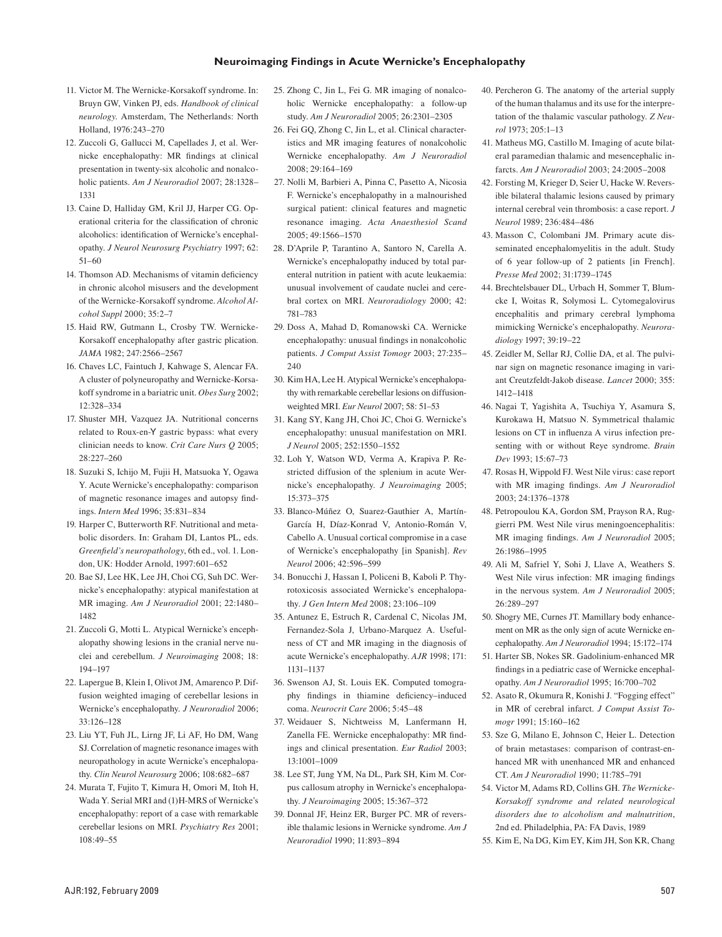#### **Neuroimaging Findings in Acute Wernicke's Encephalopathy**

- 11. Victor M. The Wernicke-Korsakoff syndrome. In: Bruyn GW, Vinken PJ, eds. *Handbook of clinical neurology*. Amsterdam, The Netherlands: North Holland, 1976:243–270
- 12. Zuccoli G, Gallucci M, Capellades J, et al. Wernicke encephalopathy: MR findings at clinical presentation in twenty-six alcoholic and nonalcoholic patients. *Am J Neuroradiol* 2007; 28:1328– 1331
- 13. Caine D, Halliday GM, Kril JJ, Harper CG. Operational criteria for the classification of chronic alcoholics: identification of Wernicke's encephalopathy. *J Neurol Neurosurg Psychiatry* 1997; 62: 51–60
- 14. Thomson AD. Mechanisms of vitamin deficiency in chronic alcohol misusers and the development of the Wernicke-Korsakoff syndrome. *Alcohol Alcohol Suppl* 2000; 35:2–7
- 15. Haid RW, Gutmann L, Crosby TW. Wernicke-Korsakoff encephalopathy after gastric plication. *JAMA* 1982; 247:2566–2567
- 16. Chaves LC, Faintuch J, Kahwage S, Alencar FA. A cluster of polyneuropathy and Wernicke-Korsakoff syndrome in a bariatric unit. *Obes Surg* 2002; 12:328–334
- 17. Shuster MH, Vazquez JA. Nutritional concerns related to Roux-en-Y gastric bypass: what every clinician needs to know. *Crit Care Nurs Q* 2005; 28:227–260
- 18. Suzuki S, Ichijo M, Fujii H, Matsuoka Y, Ogawa Y. Acute Wernicke's encephalopathy: comparison of magnetic resonance images and autopsy findings. *Intern Med* 1996; 35:831–834
- 19. Harper C, Butterworth RF. Nutritional and metabolic disorders. In: Graham DI, Lantos PL, eds. *Greenfield's neuropathology*, 6th ed., vol. 1. London, UK: Hodder Arnold, 1997:601–652
- 20. Bae SJ, Lee HK, Lee JH, Choi CG, Suh DC. Wernicke's encephalopathy: atypical manifestation at MR imaging. *Am J Neuroradiol* 2001; 22:1480– 1482
- 21. Zuccoli G, Motti L. Atypical Wernicke's encephalopathy showing lesions in the cranial nerve nuclei and cerebellum. *J Neuroimaging* 2008; 18: 194–197
- 22. Lapergue B, Klein I, Olivot JM, Amarenco P. Diffusion weighted imaging of cerebellar lesions in Wernicke's encephalopathy. *J Neuroradiol* 2006; 33:126–128
- 23. Liu YT, Fuh JL, Lirng JF, Li AF, Ho DM, Wang SJ. Correlation of magnetic resonance images with neuropathology in acute Wernicke's encephalopathy. *Clin Neurol Neurosurg* 2006; 108:682–687
- 24. Murata T, Fujito T, Kimura H, Omori M, Itoh H, Wada Y. Serial MRI and (1)H-MRS of Wernicke's encephalopathy: report of a case with remarkable cerebellar lesions on MRI. *Psychiatry Res* 2001; 108:49–55
- 25. Zhong C, Jin L, Fei G. MR imaging of nonalcoholic Wernicke encephalopathy: a follow-up study. *Am J Neuroradiol* 2005; 26:2301–2305
- 26. Fei GQ, Zhong C, Jin L, et al. Clinical characteristics and MR imaging features of nonalcoholic Wernicke encephalopathy. *Am J Neuroradiol*  2008; 29:164–169
- 27. Nolli M, Barbieri A, Pinna C, Pasetto A, Nicosia F. Wernicke's encephalopathy in a malnourished surgical patient: clinical features and magnetic resonance imaging. *Acta Anaesthesiol Scand*  $2005:49:1566 - 1570$
- 28. D'Aprile P, Tarantino A, Santoro N, Carella A. Wernicke's encephalopathy induced by total parenteral nutrition in patient with acute leukaemia: unusual involvement of caudate nuclei and cerebral cortex on MRI. *Neuroradiology* 2000; 42: 781–783
- 29. Doss A, Mahad D, Romanowski CA. Wernicke encephalopathy: unusual findings in nonalcoholic patients. *J Comput Assist Tomogr* 2003; 27:235– 240
- 30. Kim HA, Lee H. Atypical Wernicke's encephalopathy with remarkable cerebellar lesions on diffusionweighted MRI. *Eur Neurol* 2007; 58: 51–53
- 31. Kang SY, Kang JH, Choi JC, Choi G. Wernicke's encephalopathy: unusual manifestation on MRI. *J Neurol* 2005; 252:1550–1552
- 32. Loh Y, Watson WD, Verma A, Krapiva P. Restricted diffusion of the splenium in acute Wernicke's encephalopathy. *J Neuroimaging* 2005; 15:373–375
- 33. Blanco-Múñez O, Suarez-Gauthier A, Martín-García H, Díaz-Konrad V, Antonio-Román V, Cabello A. Unusual cortical compromise in a case of Wernicke's encephalopathy [in Spanish]. *Rev Neurol* 2006; 42:596–599
- 34. Bonucchi J, Hassan I, Policeni B, Kaboli P. Thyrotoxicosis associated Wernicke's encephalopathy. *J Gen Intern Med* 2008; 23:106–109
- 35. Antunez E, Estruch R, Cardenal C, Nicolas JM, Fernandez-Sola J, Urbano-Marquez A. Usefulness of CT and MR imaging in the diagnosis of acute Wernicke's encephalopathy. *AJR* 1998; 171: 1131–1137
- 36. Swenson AJ, St. Louis EK. Computed tomography findings in thiamine deficiency–induced coma. *Neurocrit Care* 2006; 5:45–48
- 37. Weidauer S, Nichtweiss M, Lanfermann H, Zanella FE. Wernicke encephalopathy: MR findings and clinical presentation. *Eur Radiol* 2003; 13:1001–1009
- 38. Lee ST, Jung YM, Na DL, Park SH, Kim M. Corpus callosum atrophy in Wernicke's encephalopathy. *J Neuroimaging* 2005; 15:367–372
- 39. Donnal JF, Heinz ER, Burger PC. MR of reversible thalamic lesions in Wernicke syndrome. *Am J Neuroradiol* 1990; 11:893–894
- 40. Percheron G. The anatomy of the arterial supply of the human thalamus and its use for the interpretation of the thalamic vascular pathology. *Z Neurol* 1973; 205:1–13
- 41. Matheus MG, Castillo M. Imaging of acute bilateral paramedian thalamic and mesencephalic infarcts. *Am J Neuroradiol* 2003; 24:2005–2008
- 42. Forsting M, Krieger D, Seier U, Hacke W. Reversible bilateral thalamic lesions caused by primary internal cerebral vein thrombosis: a case report. *J Neurol* 1989; 236:484–486
- 43. Masson C, Colombani JM. Primary acute disseminated encephalomyelitis in the adult. Study of 6 year follow-up of 2 patients [in French]. *Presse Med* 2002; 31:1739–1745
- 44. Brechtelsbauer DL, Urbach H, Sommer T, Blumcke I, Woitas R, Solymosi L. Cytomegalovirus encephalitis and primary cerebral lymphoma mimicking Wernicke's encephalopathy. *Neuroradiology* 1997; 39:19–22
- 45. Zeidler M, Sellar RJ, Collie DA, et al. The pulvinar sign on magnetic resonance imaging in variant Creutzfeldt-Jakob disease. *Lancet* 2000; 355: 1412–1418
- 46. Nagai T, Yagishita A, Tsuchiya Y, Asamura S, Kurokawa H, Matsuo N. Symmetrical thalamic lesions on CT in influenza A virus infection presenting with or without Reye syndrome. *Brain Dev* 1993; 15:67–73
- 47. Rosas H, Wippold FJ. West Nile virus: case report with MR imaging findings. *Am J Neuroradiol*  2003; 24:1376–1378
- 48. Petropoulou KA, Gordon SM, Prayson RA, Ruggierri PM. West Nile virus meningoencephalitis: MR imaging findings. *Am J Neuroradiol* 2005; 26:1986–1995
- 49. Ali M, Safriel Y, Sohi J, Llave A, Weathers S. West Nile virus infection: MR imaging findings in the nervous system. *Am J Neuroradiol* 2005; 26:289–297
- 50. Shogry ME, Curnes JT. Mamillary body enhancement on MR as the only sign of acute Wernicke encephalopathy. *Am J Neuroradiol* 1994; 15:172–174
- 51. Harter SB, Nokes SR. Gadolinium-enhanced MR findings in a pediatric case of Wernicke encephalopathy. *Am J Neuroradiol* 1995; 16:700–702
- 52. Asato R, Okumura R, Konishi J. "Fogging effect" in MR of cerebral infarct. *J Comput Assist Tomogr* 1991; 15:160–162
- 53. Sze G, Milano E, Johnson C, Heier L. Detection of brain metastases: comparison of contrast-enhanced MR with unenhanced MR and enhanced CT. *Am J Neuroradiol* 1990; 11:785–791
- 54. Victor M, Adams RD, Collins GH. *The Wernicke-Korsakoff syndrome and related neurological disorders due to alcoholism and malnutrition*, 2nd ed. Philadelphia, PA: FA Davis, 1989
- 55. Kim E, Na DG, Kim EY, Kim JH, Son KR, Chang